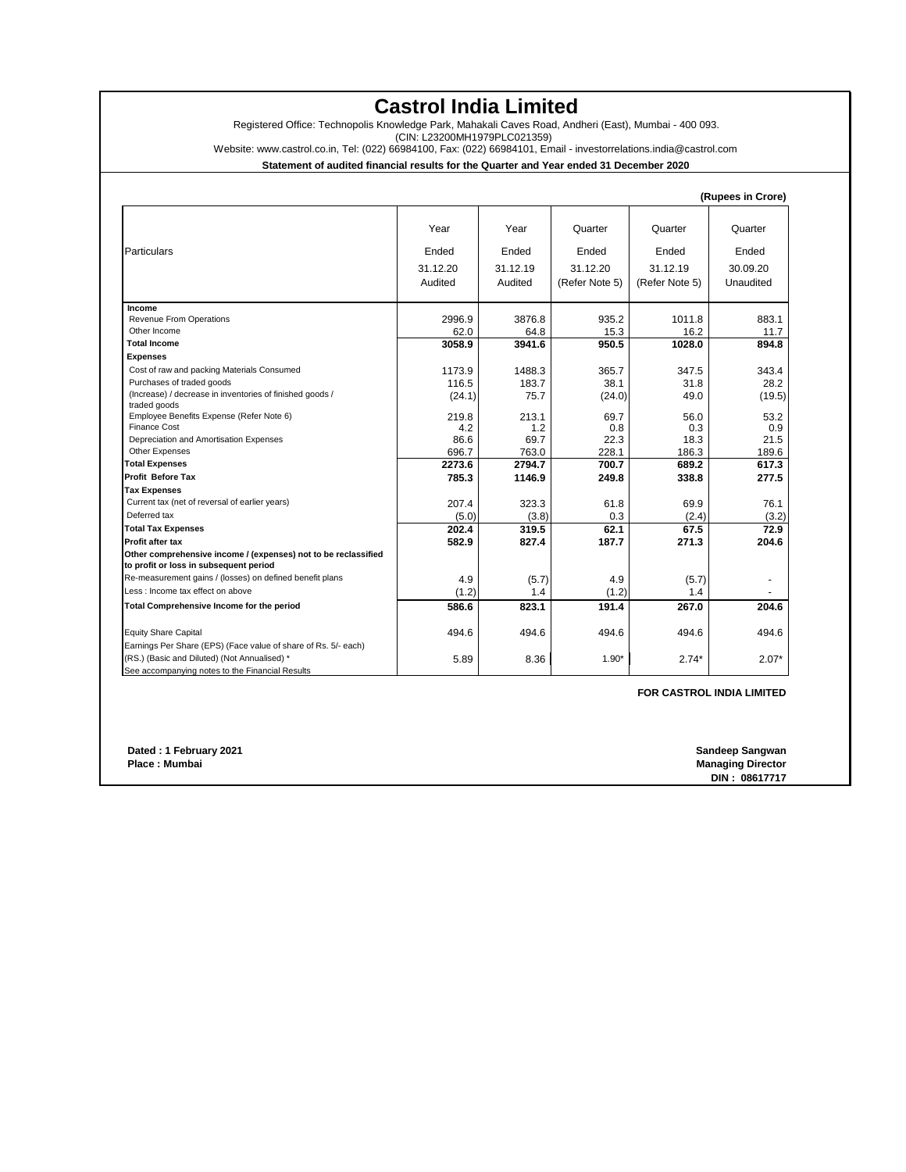## **Castrol India Limited**

Registered Office: Technopolis Knowledge Park, Mahakali Caves Road, Andheri (East), Mumbai - 400 093.

(CIN: L23200MH1979PLC021359)

Website: www.castrol.co.in, Tel: (022) 66984100, Fax: (022) 66984101, Email - investorrelations.india@castrol.com

**Statement of audited financial results for the Quarter and Year ended 31 December 2020**

|                                                                                                          |          |          |                |                | (Rupees in Crore) |
|----------------------------------------------------------------------------------------------------------|----------|----------|----------------|----------------|-------------------|
|                                                                                                          | Year     | Year     | Quarter        | Quarter        | Quarter           |
| Particulars                                                                                              | Ended    | Ended    | Ended          | Ended          | Ended             |
|                                                                                                          | 31.12.20 | 31.12.19 | 31.12.20       | 31.12.19       | 30.09.20          |
|                                                                                                          | Audited  | Audited  | (Refer Note 5) | (Refer Note 5) | Unaudited         |
| Income                                                                                                   |          |          |                |                |                   |
| Revenue From Operations                                                                                  | 2996.9   | 3876.8   | 935.2          | 1011.8         | 883.1             |
| Other Income                                                                                             | 62.0     | 64.8     | 15.3           | 16.2           | 11.7              |
| <b>Total Income</b>                                                                                      | 3058.9   | 3941.6   | 950.5          | 1028.0         | 894.8             |
| <b>Expenses</b>                                                                                          |          |          |                |                |                   |
| Cost of raw and packing Materials Consumed                                                               | 1173.9   | 1488.3   | 365.7          | 347.5          | 343.4             |
| Purchases of traded goods                                                                                | 116.5    | 183.7    | 38.1           | 31.8           | 28.2              |
| (Increase) / decrease in inventories of finished goods /<br>traded goods                                 | (24.1)   | 75.7     | (24.0)         | 49.0           | (19.5)            |
| Employee Benefits Expense (Refer Note 6)                                                                 | 219.8    | 213.1    | 69.7           | 56.0           | 53.2              |
| <b>Finance Cost</b>                                                                                      | 4.2      | 1.2      | 0.8            | 0.3            | 0.9               |
| Depreciation and Amortisation Expenses                                                                   | 86.6     | 69.7     | 22.3           | 18.3           | 21.5              |
| Other Expenses                                                                                           | 696.7    | 763.0    | 228.1          | 186.3          | 189.6             |
| <b>Total Expenses</b>                                                                                    | 2273.6   | 2794.7   | 700.7          | 689.2          | 617.3             |
| <b>Profit Before Tax</b>                                                                                 | 785.3    | 1146.9   | 249.8          | 338.8          | 277.5             |
| <b>Tax Expenses</b>                                                                                      |          |          |                |                |                   |
| Current tax (net of reversal of earlier years)                                                           | 207.4    | 323.3    | 61.8           | 69.9           | 76.1              |
| Deferred tax                                                                                             | (5.0)    | (3.8)    | 0.3            | (2.4)          | (3.2)             |
| <b>Total Tax Expenses</b>                                                                                | 202.4    | 319.5    | 62.1           | 67.5           | 72.9              |
| <b>Profit after tax</b>                                                                                  | 582.9    | 827.4    | 187.7          | 271.3          | 204.6             |
| Other comprehensive income / (expenses) not to be reclassified<br>to profit or loss in subsequent period |          |          |                |                |                   |
| Re-measurement gains / (losses) on defined benefit plans                                                 | 4.9      | (5.7)    | 4.9            | (5.7)          |                   |
| Less: Income tax effect on above                                                                         | (1.2)    | 1.4      | (1.2)          | 1.4            |                   |
| Total Comprehensive Income for the period                                                                | 586.6    | 823.1    | 191.4          | 267.0          | 204.6             |
| <b>Equity Share Capital</b>                                                                              | 494.6    | 494.6    | 494.6          | 494.6          | 494.6             |
| Earnings Per Share (EPS) (Face value of share of Rs. 5/- each)                                           |          |          |                |                |                   |
| (RS.) (Basic and Diluted) (Not Annualised) *                                                             | 5.89     | 8.36     | $1.90*$        | $2.74*$        | $2.07*$           |
| See accompanying notes to the Financial Results                                                          |          |          |                |                |                   |

**FOR CASTROL INDIA LIMITED**

 **Dated : 1 February 2021<br>Place : Mumbai** 

**Sandeep Sangwan<br>Managing Director DIN : 08617717**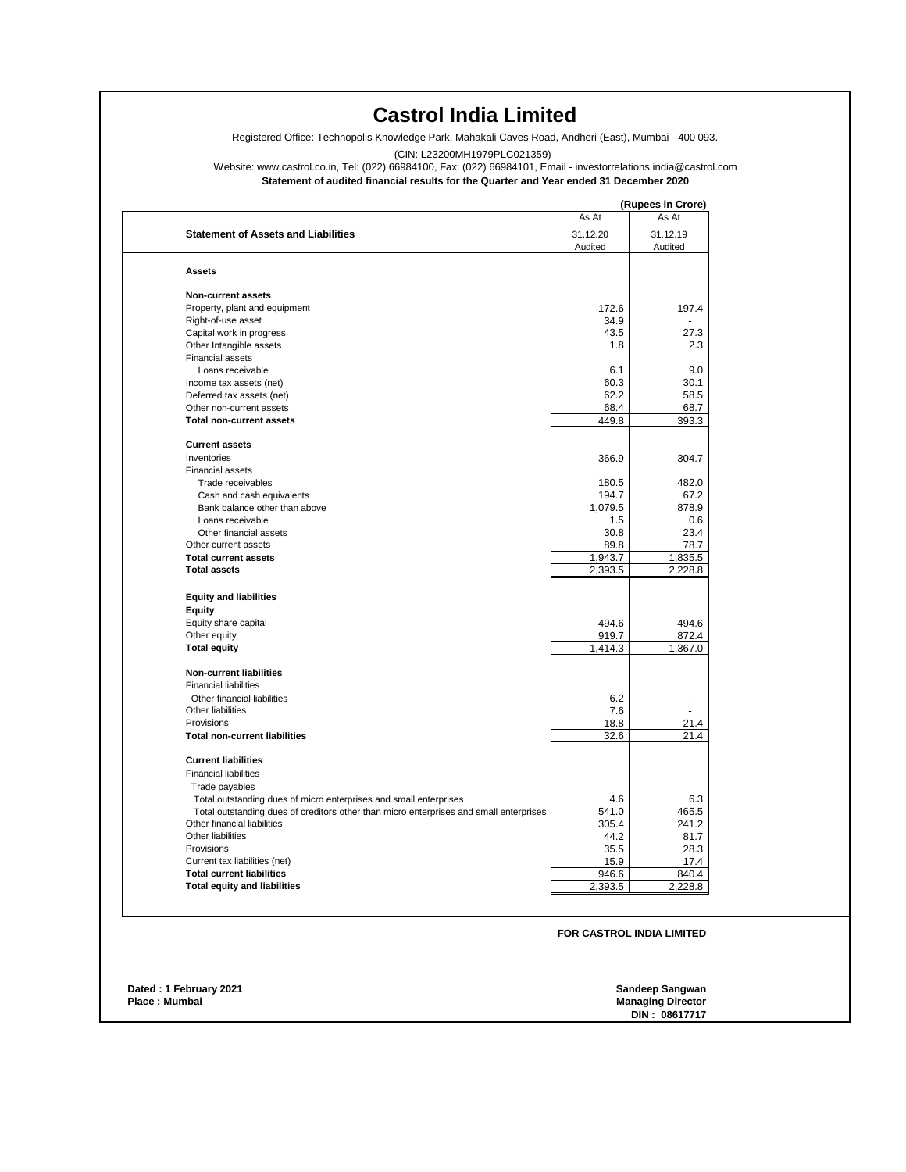## **Castrol India Limited**

Registered Office: Technopolis Knowledge Park, Mahakali Caves Road, Andheri (East), Mumbai - 400 093.

(CIN: L23200MH1979PLC021359)

Website: www.castrol.co.in, Tel: (022) 66984100, Fax: (022) 66984101, Email - investorrelations.india@castrol.com

**Statement of audited financial results for the Quarter and Year ended 31 December 2020**

|                                                                                        |          | (Rupees in Crore) |
|----------------------------------------------------------------------------------------|----------|-------------------|
|                                                                                        | As At    | As At             |
| <b>Statement of Assets and Liabilities</b>                                             | 31.12.20 | 31.12.19          |
|                                                                                        | Audited  | Audited           |
| <b>Assets</b>                                                                          |          |                   |
| Non-current assets                                                                     |          |                   |
| Property, plant and equipment                                                          | 172.6    | 197.4             |
| Right-of-use asset                                                                     | 34.9     |                   |
| Capital work in progress                                                               | 43.5     | 27.3              |
| Other Intangible assets                                                                | 1.8      | 2.3               |
| <b>Financial assets</b>                                                                |          |                   |
| Loans receivable                                                                       | 6.1      | 9.0               |
| Income tax assets (net)                                                                | 60.3     | 30.1              |
| Deferred tax assets (net)                                                              | 62.2     | 58.5              |
| Other non-current assets                                                               | 68.4     | 68.7              |
| <b>Total non-current assets</b>                                                        | 449.8    | 393.3             |
|                                                                                        |          |                   |
| <b>Current assets</b>                                                                  |          |                   |
| Inventories                                                                            | 366.9    | 304.7             |
| Financial assets                                                                       |          |                   |
| Trade receivables                                                                      | 180.5    | 482.0             |
| Cash and cash equivalents                                                              | 194.7    | 67.2              |
| Bank balance other than above                                                          | 1,079.5  | 878.9             |
| Loans receivable                                                                       | 1.5      | 0.6               |
| Other financial assets                                                                 | 30.8     | 23.4              |
| Other current assets                                                                   | 89.8     | 78.7              |
| <b>Total current assets</b>                                                            | 1,943.7  | 1,835.5           |
| <b>Total assets</b>                                                                    | 2,393.5  | 2,228.8           |
| <b>Equity and liabilities</b>                                                          |          |                   |
| <b>Equity</b>                                                                          |          |                   |
| Equity share capital                                                                   | 494.6    | 494.6             |
| Other equity                                                                           | 919.7    | 872.4             |
| <b>Total equity</b>                                                                    | 1,414.3  | 1,367.0           |
| Non-current liabilities                                                                |          |                   |
| <b>Financial liabilities</b>                                                           |          |                   |
| Other financial liabilities                                                            | 6.2      |                   |
| Other liabilities                                                                      | 7.6      |                   |
| Provisions                                                                             | 18.8     | 21.4              |
| <b>Total non-current liabilities</b>                                                   | 32.6     | 21.4              |
|                                                                                        |          |                   |
| <b>Current liabilities</b>                                                             |          |                   |
| <b>Financial liabilities</b>                                                           |          |                   |
| Trade payables                                                                         |          |                   |
| Total outstanding dues of micro enterprises and small enterprises                      | 4.6      | 6.3               |
| Total outstanding dues of creditors other than micro enterprises and small enterprises | 541.0    | 465.5             |
| Other financial liabilities                                                            | 305.4    | 241.2             |
| Other liabilities                                                                      | 44.2     | 81.7              |
| Provisions                                                                             | 35.5     | 28.3              |
| Current tax liabilities (net)                                                          | 15.9     | 17.4              |
| <b>Total current liabilities</b>                                                       | 946.6    | 840.4             |
| <b>Total equity and liabilities</b>                                                    | 2,393.5  | 2,228.8           |

**FOR CASTROL INDIA LIMITED**

| Dated: 1 February 2021<br>Place: Mumbai | Sandeep Sangwan<br><b>Managing Director</b> |
|-----------------------------------------|---------------------------------------------|
|                                         | DIN: 08617717                               |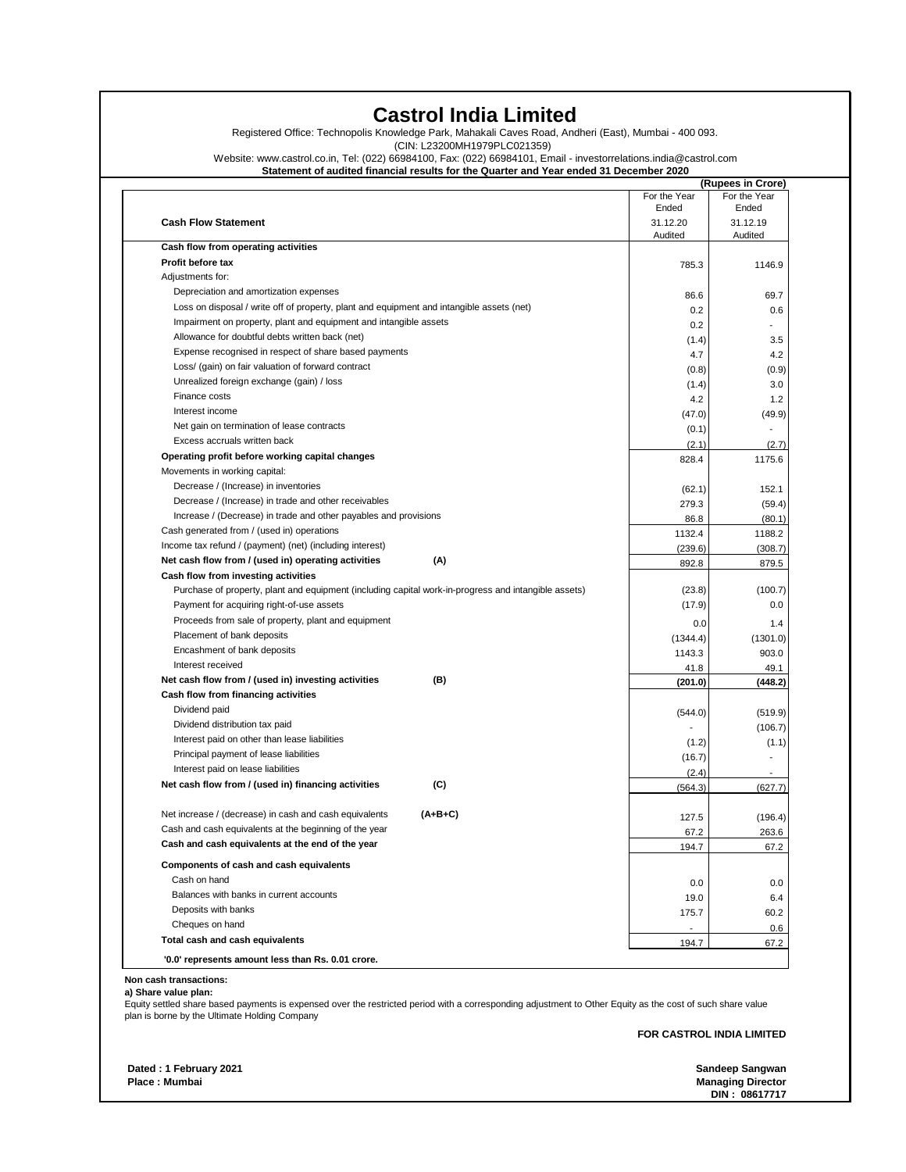## **Castrol India Limited**

Registered Office: Technopolis Knowledge Park, Mahakali Caves Road, Andheri (East), Mumbai - 400 093.

(CIN: L23200MH1979PLC021359)

Website: www.castrol.co.in, Tel: (022) 66984100, Fax: (022) 66984101, Email - investorrelations.india@castrol.com

**Statement of audited financial results for the Quarter and Year ended 31 December 2020**

|                                                                                                      |                          | (Rupees in Crore)     |
|------------------------------------------------------------------------------------------------------|--------------------------|-----------------------|
|                                                                                                      | For the Year<br>Ended    | For the Year<br>Ended |
| <b>Cash Flow Statement</b>                                                                           | 31.12.20                 | 31.12.19              |
| Cash flow from operating activities                                                                  | Audited                  | Audited               |
| Profit before tax                                                                                    | 785.3                    |                       |
| Adjustments for:                                                                                     |                          | 1146.9                |
| Depreciation and amortization expenses                                                               |                          |                       |
| Loss on disposal / write off of property, plant and equipment and intangible assets (net)            | 86.6<br>0.2              | 69.7                  |
| Impairment on property, plant and equipment and intangible assets                                    | 0.2                      |                       |
| Allowance for doubtful debts written back (net)                                                      |                          |                       |
| Expense recognised in respect of share based payments                                                | (1.4)<br>4.7             |                       |
| Loss/ (gain) on fair valuation of forward contract                                                   |                          |                       |
| Unrealized foreign exchange (gain) / loss                                                            | (0.8)                    | (0.9)                 |
| Finance costs                                                                                        | (1.4)                    |                       |
| Interest income                                                                                      | 4.2                      |                       |
| Net gain on termination of lease contracts                                                           | (47.0)                   | (49.9)                |
| Excess accruals written back                                                                         | (0.1)                    |                       |
| Operating profit before working capital changes                                                      | (2.1)                    | (2.7)                 |
| Movements in working capital:                                                                        | 828.4                    | 1175.6                |
| Decrease / (Increase) in inventories                                                                 |                          |                       |
| Decrease / (Increase) in trade and other receivables                                                 | (62.1)                   | 152.1                 |
| Increase / (Decrease) in trade and other payables and provisions                                     | 279.3                    | (59.4)                |
| Cash generated from / (used in) operations                                                           | 86.8                     | (80.1)                |
|                                                                                                      | 1132.4                   | 1188.2                |
| Income tax refund / (payment) (net) (including interest)                                             | (239.6)                  | (308.7)               |
| Net cash flow from / (used in) operating activities<br>(A)                                           | 892.8                    | 879.5                 |
| Cash flow from investing activities                                                                  |                          |                       |
| Purchase of property, plant and equipment (including capital work-in-progress and intangible assets) | (23.8)<br>(17.9)         | (100.7)               |
| Payment for acquiring right-of-use assets                                                            |                          |                       |
| Proceeds from sale of property, plant and equipment                                                  | 0.0                      |                       |
| Placement of bank deposits                                                                           | (1344.4)                 | (1301.0)              |
| Encashment of bank deposits<br>Interest received                                                     | 1143.3                   | 903.0                 |
|                                                                                                      | 41.8                     | 49.1                  |
| Net cash flow from / (used in) investing activities<br>(B)                                           | (201.0)                  | (448.2)               |
| Cash flow from financing activities                                                                  |                          |                       |
| Dividend paid                                                                                        | (544.0)                  | (519.9)               |
| Dividend distribution tax paid                                                                       |                          | (106.7)               |
| Interest paid on other than lease liabilities<br>Principal payment of lease liabilities              | (1.2)                    | (1.1)                 |
|                                                                                                      | (16.7)                   |                       |
| Interest paid on lease liabilities                                                                   | (2.4)                    |                       |
| Net cash flow from / (used in) financing activities<br>(C)                                           | (564.3)                  | (627.7)               |
| $(A+B+C)$<br>Net increase / (decrease) in cash and cash equivalents                                  |                          |                       |
| Cash and cash equivalents at the beginning of the year                                               | 127.5                    | (196.4)               |
| Cash and cash equivalents at the end of the year                                                     | 67.2                     | 263.6                 |
|                                                                                                      | 194.7                    | 67.2                  |
| Components of cash and cash equivalents                                                              |                          |                       |
| Cash on hand                                                                                         | 0.0                      |                       |
|                                                                                                      | 19.0                     |                       |
| Balances with banks in current accounts                                                              |                          |                       |
| Deposits with banks                                                                                  | 175.7                    |                       |
| Cheques on hand                                                                                      | $\overline{\phantom{a}}$ | 60.2                  |

**Non cash transactions:**

**a) Share value plan:**

Equity settled share based payments is expensed over the restricted period with a corresponding adjustment to Other Equity as the cost of such share value plan is borne by the Ultimate Holding Company

**FOR CASTROL INDIA LIMITED**

 **Dated : 1 February 2021 Sandeep Sangwan Place : Mumbai Managing Director** 

**DIN : 08617717**